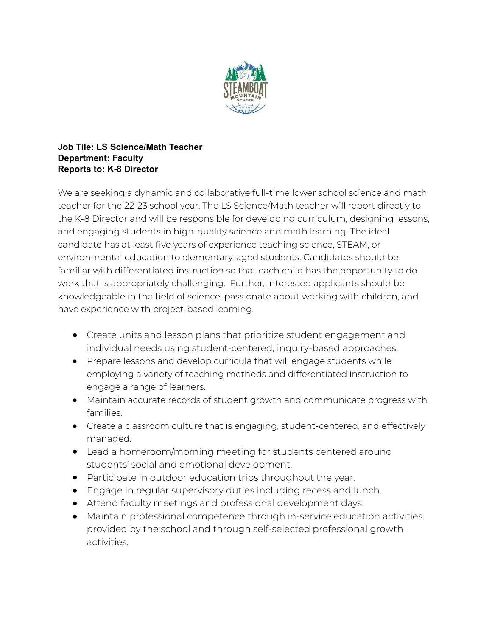

## **Job Tile: LS Science/Math Teacher Department: Faculty Reports to: K-8 Director**

We are seeking a dynamic and collaborative full-time lower school science and math teacher for the 22-23 school year. The LS Science/Math teacher will report directly to the K-8 Director and will be responsible for developing curriculum, designing lessons, and engaging students in high-quality science and math learning. The ideal candidate has at least five years of experience teaching science, STEAM, or environmental education to elementary-aged students. Candidates should be familiar with differentiated instruction so that each child has the opportunity to do work that is appropriately challenging. Further, interested applicants should be knowledgeable in the field of science, passionate about working with children, and have experience with project-based learning.

- Create units and lesson plans that prioritize student engagement and individual needs using student-centered, inquiry-based approaches.
- Prepare lessons and develop curricula that will engage students while employing a variety of teaching methods and differentiated instruction to engage a range of learners.
- Maintain accurate records of student growth and communicate progress with families.
- Create a classroom culture that is engaging, student-centered, and effectively managed.
- Lead a homeroom/morning meeting for students centered around students' social and emotional development.
- Participate in outdoor education trips throughout the year.
- Engage in regular supervisory duties including recess and lunch.
- Attend faculty meetings and professional development days.
- Maintain professional competence through in-service education activities provided by the school and through self-selected professional growth activities.